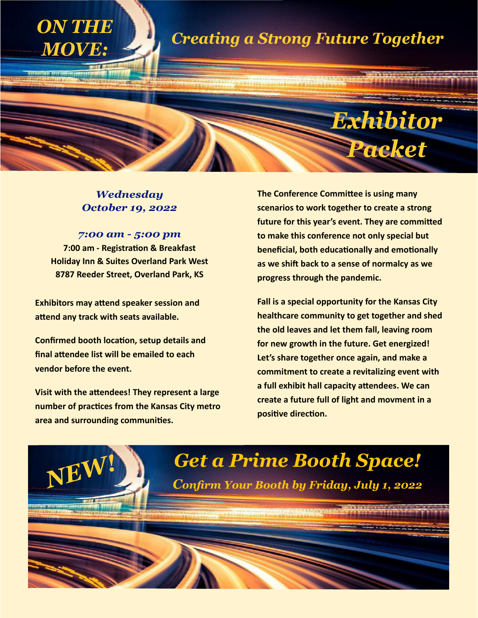

### *Wednesday October 19, 2022*

*7:00 am - 5:00 pm* **7:00 am - Registration & Breakfast Holiday Inn & Suites Overland Park West 8787 Reeder Street, Overland Park, KS**

**Exhibitors may attend speaker session and attend any track with seats available.** 

**Confirmed booth location, setup details and final attendee list will be emailed to each vendor before the event.** 

**Visit with the attendees! They represent a large number of practices from the Kansas City metro area and surrounding communities.** 

**The Conference Committee is using many scenarios to work together to create a strong future for this year's event. They are committed to make this conference not only special but beneficial, both educationally and emotionally as we shift back to a sense of normalcy as we progress through the pandemic.** 

**Fall is a special opportunity for the Kansas City healthcare community to get together and shed the old leaves and let them fall, leaving room for new growth in the future. Get energized! Let's share together once again, and make a commitment to create a revitalizing event with a full exhibit hall capacity attendees. We can create a future full of light and movment in a positive direction.** 

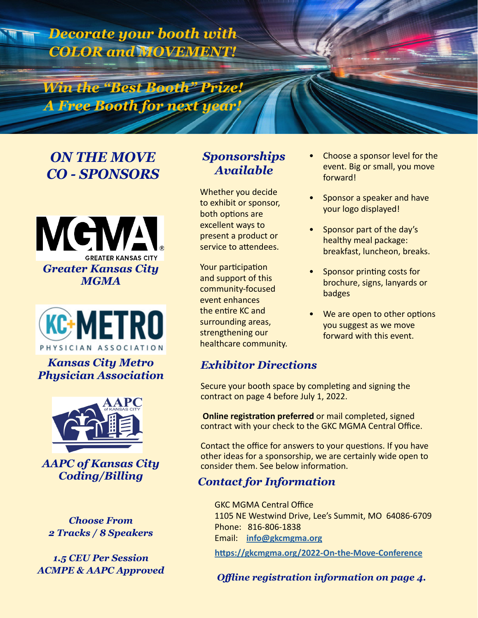*Decorate your booth with COLOR and MOVEMENT!*

*Win the "Best Booth" Prize! A Free Booth for next year!*

# *ON THE MOVE CO - SPONSORS*





*Kansas City Metro Physician Association*



*AAPC of Kansas City Coding/Billing*

*Choose From 2 Tracks / 8 Speakers*

*1.5 CEU Per Session ACMPE & AAPC Approved*

## *Sponsorships Available*

Whether you decide to exhibit or sponsor, both options are excellent ways to present a product or service to attendees.

Your participation and support of this community-focused event enhances the entire KC and surrounding areas, strengthening our healthcare community.

# *Exhibitor Directions*

Secure your booth space by completing and signing the contract on page 4 before July 1, 2022.

**Online registration preferred** or mail completed, signed contract with your check to the GKC MGMA Central Office.

Contact the office for answers to your questions. If you have other ideas for a sponsorship, we are certainly wide open to consider them. See below information.

### *Contact for Information*

 GKC MGMA Central Office 1105 NE Westwind Drive, Lee's Summit, MO 64086-6709 Phone: 816-806-1838 Email: **[info@gkcmgma.o](http://info@nwmomgma.com )rg**

**<https://gkcmgma.org/2022-On-the-Move-Conference>**

*Offline registration information on page 4.*

- Choose a sponsor level for the event. Big or small, you move forward!
- Sponsor a speaker and have your logo displayed!
- Sponsor part of the day's healthy meal package: breakfast, luncheon, breaks.
- Sponsor printing costs for brochure, signs, lanyards or badges
- We are open to other options you suggest as we move forward with this event.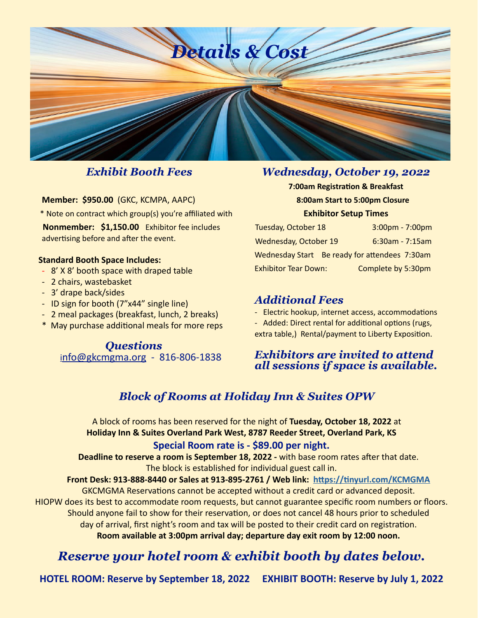

### *Exhibit Booth Fees*

**Member: \$950.00** (GKC, KCMPA, AAPC)

\* Note on contract which group(s) you're affiliated with

 **Nonmember: \$1,150.00** Exhibitor fee includes advertising before and after the event.

#### **Standard Booth Space Includes:**

- 8' X 8' booth space with draped table
- 2 chairs, wastebasket
- 3' drape back/sides
- ID sign for booth (7"x44" single line)
- 2 meal packages (breakfast, lunch, 2 breaks)
- \* May purchase additional meals for more reps

*Questions* i[nfo@g](https://info@gkcmgma.org)kcmgma.org - 816-806-1838

### *Wednesday, October 19, 2022*

**7:00am Registration & Breakfast 8:00am Start to 5:00pm Closure Exhibitor Setup Times**

| <b>Tuesday, October 18</b>                    |  | $3:00 \text{pm} - 7:00 \text{pm}$ |
|-----------------------------------------------|--|-----------------------------------|
| <b>Wednesday, October 19</b>                  |  | $6:30$ am - 7:15am                |
| Wednesday Start Be ready for attendees 7:30am |  |                                   |
| <b>Exhibitor Tear Down:</b>                   |  | Complete by 5:30pm                |

### *Additional Fees*

- Electric hookup, internet access, accommodations

- Added: Direct rental for additional options (rugs,

extra table,) Rental/payment to Liberty Exposition.

### *Exhibitors are invited to attend all sessions if space is available.*

# *Block of Rooms at Holiday Inn & Suites OPW*

A block of rooms has been reserved for the night of **Tuesday, October 18, 2022** at **Holiday Inn & Suites Overland Park West, 8787 Reeder Street, Overland Park, KS** 

#### **Special Room rate is - \$89.00 per night.**

**Deadline to reserve a room is September 18, 2022 -** with base room rates after that date. The block is established for individual guest call in.

#### **Front Desk: 913-888-8440 or Sales at 913-895-2761 / Web link: <https://tinyurl.com/KCMGMA>**

GKCMGMA Reservations cannot be accepted without a credit card or advanced deposit. HIOPW does its best to accommodate room requests, but cannot guarantee specific room numbers or floors. Should anyone fail to show for their reservation, or does not cancel 48 hours prior to scheduled day of arrival, first night's room and tax will be posted to their credit card on registration. **Room available at 3:00pm arrival day; departure day exit room by 12:00 noon.** 

# *Reserve your hotel room & exhibit booth by dates below.*

**HOTEL ROOM: Reserve by September 18, 2022 EXHIBIT BOOTH: Reserve by July 1, 2022**